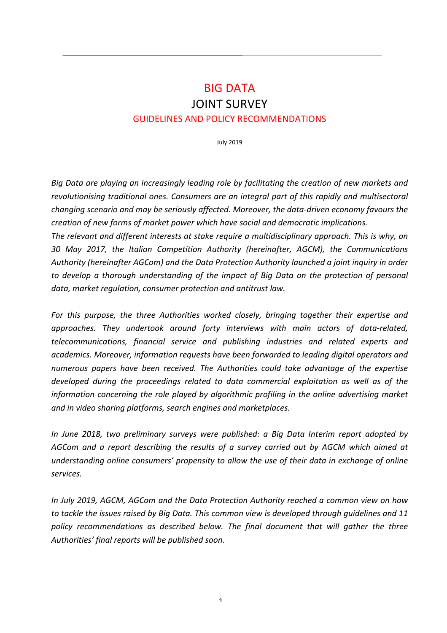# **BIG DATA JOINT SURVEY GUIDELINES AND POLICY RECOMMENDATIONS**

July 2019

*Big* Data are playing an increasingly leading role by facilitating the creation of new markets and revolutionising traditional ones. Consumers are an integral part of this rapidly and multisectoral changing scenario and may be seriously affected. Moreover, the data-driven economy favours the *creation of new forms of market power which have social and democratic implications.* 

The relevant and different interests at stake require a multidisciplinary approach. This is why, on *30 May 2017, the Italian Competition Authority (hereinafter, AGCM), the Communications*  Authority (hereinafter AGCom) and the Data Protection Authority launched a joint inquiry in order *to* develop a thorough understanding of the impact of Big Data on the protection of personal data, market regulation, consumer protection and antitrust law.

For this purpose, the three Authorities worked closely, bringing together their expertise and *approaches. They undertook around forty interviews with main actors of data-related, telecommunications, financial service and publishing industries and related experts and*  academics. Moreover, information requests have been forwarded to leading digital operators and *numerous papers have been received. The Authorities could take advantage of the expertise developed during the proceedings related to data commercial exploitation as well as of the information concerning the role played by algorithmic profiling in the online advertising market* and in video sharing platforms, search engines and marketplaces.

*In* June 2018, two preliminary surveys were published: a Big Data Interim report adopted by AGCom and a report describing the results of a survey carried out by AGCM which aimed at understanding online consumers' propensity to allow the use of their data in exchange of online *services.*

*In July 2019, AGCM, AGCom and the Data Protection Authority reached a common view on how* to tackle the issues raised by Big Data. This common view is developed through guidelines and 11 policy recommendations as described below. The final document that will gather the three Authorities' final reports will be published soon.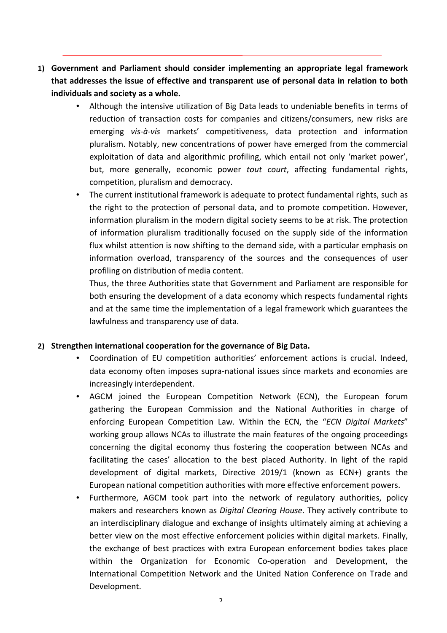- **1)** Government and Parliament should consider implementing an appropriate legal framework **that addresses the issue of effective and transparent use of personal data in relation to both** individuals and society as a whole.
	- Although the intensive utilization of Big Data leads to undeniable benefits in terms of reduction of transaction costs for companies and citizens/consumers, new risks are emerging *vis-à-vis* markets' competitiveness, data protection and information pluralism. Notably, new concentrations of power have emerged from the commercial exploitation of data and algorithmic profiling, which entail not only 'market power', but, more generally, economic power *tout court*, affecting fundamental rights, competition, pluralism and democracy.
	- The current institutional framework is adequate to protect fundamental rights, such as the right to the protection of personal data, and to promote competition. However, information pluralism in the modern digital society seems to be at risk. The protection of information pluralism traditionally focused on the supply side of the information flux whilst attention is now shifting to the demand side, with a particular emphasis on information overload, transparency of the sources and the consequences of user profiling on distribution of media content.

Thus, the three Authorities state that Government and Parliament are responsible for both ensuring the development of a data economy which respects fundamental rights and at the same time the implementation of a legal framework which guarantees the lawfulness and transparency use of data.

#### 2) Strengthen international cooperation for the governance of Big Data.

- Coordination of EU competition authorities' enforcement actions is crucial. Indeed, data economy often imposes supra-national issues since markets and economies are increasingly interdependent.
- AGCM joined the European Competition Network (ECN), the European forum gathering the European Commission and the National Authorities in charge of enforcing European Competition Law. Within the ECN, the "ECN Digital Markets" working group allows NCAs to illustrate the main features of the ongoing proceedings concerning the digital economy thus fostering the cooperation between NCAs and facilitating the cases' allocation to the best placed Authority. In light of the rapid development of digital markets, Directive 2019/1 (known as ECN+) grants the European national competition authorities with more effective enforcement powers.
- Furthermore, AGCM took part into the network of regulatory authorities, policy makers and researchers known as *Digital Clearing House*. They actively contribute to an interdisciplinary dialogue and exchange of insights ultimately aiming at achieving a better view on the most effective enforcement policies within digital markets. Finally, the exchange of best practices with extra European enforcement bodies takes place within the Organization for Economic Co-operation and Development, the International Competition Network and the United Nation Conference on Trade and Development.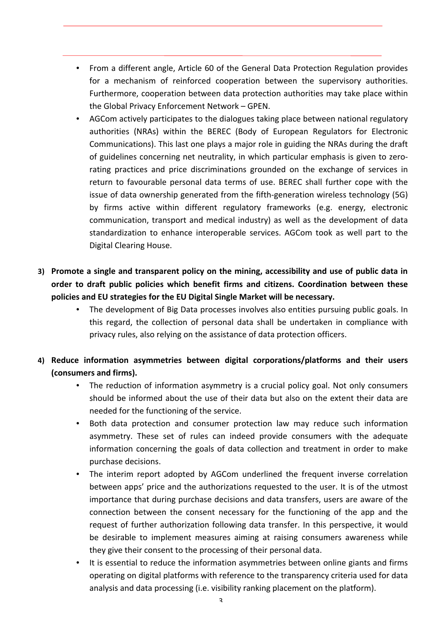- From a different angle, Article 60 of the General Data Protection Regulation provides for a mechanism of reinforced cooperation between the supervisory authorities. Furthermore, cooperation between data protection authorities may take place within the Global Privacy Enforcement Network - GPEN.
- AGCom actively participates to the dialogues taking place between national regulatory authorities (NRAs) within the BEREC (Body of European Regulators for Electronic Communications). This last one plays a major role in guiding the NRAs during the draft of guidelines concerning net neutrality, in which particular emphasis is given to zerorating practices and price discriminations grounded on the exchange of services in return to favourable personal data terms of use. BEREC shall further cope with the issue of data ownership generated from the fifth-generation wireless technology (5G) by firms active within different regulatory frameworks (e.g. energy, electronic communication, transport and medical industry) as well as the development of data standardization to enhance interoperable services. AGCom took as well part to the Digital Clearing House.
- **3)** Promote a single and transparent policy on the mining, accessibility and use of public data in order to draft public policies which benefit firms and citizens. Coordination between these **policies and EU strategies for the EU Digital Single Market will be necessary.** 
	- The development of Big Data processes involves also entities pursuing public goals. In this regard, the collection of personal data shall be undertaken in compliance with privacy rules, also relying on the assistance of data protection officers.
- 4) Reduce information asymmetries between digital corporations/platforms and their users **(consumers and firms).** 
	- The reduction of information asymmetry is a crucial policy goal. Not only consumers should be informed about the use of their data but also on the extent their data are needed for the functioning of the service.
	- Both data protection and consumer protection law may reduce such information asymmetry. These set of rules can indeed provide consumers with the adequate information concerning the goals of data collection and treatment in order to make purchase decisions.
	- The interim report adopted by AGCom underlined the frequent inverse correlation between apps' price and the authorizations requested to the user. It is of the utmost importance that during purchase decisions and data transfers, users are aware of the connection between the consent necessary for the functioning of the app and the request of further authorization following data transfer. In this perspective, it would be desirable to implement measures aiming at raising consumers awareness while they give their consent to the processing of their personal data.
	- It is essential to reduce the information asymmetries between online giants and firms operating on digital platforms with reference to the transparency criteria used for data analysis and data processing (i.e. visibility ranking placement on the platform).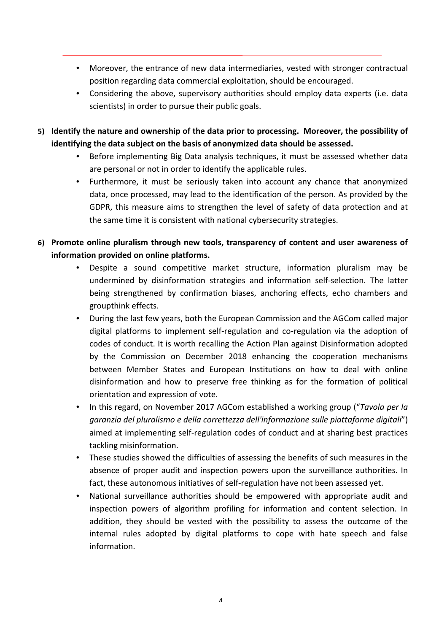- Moreover, the entrance of new data intermediaries, vested with stronger contractual position regarding data commercial exploitation, should be encouraged.
- Considering the above, supervisory authorities should employ data experts (i.e. data scientists) in order to pursue their public goals.
- 5) Identify the nature and ownership of the data prior to processing. Moreover, the possibility of identifying the data subject on the basis of anonymized data should be assessed.
	- Before implementing Big Data analysis techniques, it must be assessed whether data are personal or not in order to identify the applicable rules.
	- Furthermore, it must be seriously taken into account any chance that anonymized data, once processed, may lead to the identification of the person. As provided by the GDPR, this measure aims to strengthen the level of safety of data protection and at the same time it is consistent with national cybersecurity strategies.
- 6) Promote online pluralism through new tools, transparency of content and user awareness of **information provided on online platforms.** 
	- Despite a sound competitive market structure, information pluralism may be undermined by disinformation strategies and information self-selection. The latter being strengthened by confirmation biases, anchoring effects, echo chambers and groupthink effects.
	- During the last few years, both the European Commission and the AGCom called major digital platforms to implement self-regulation and co-regulation via the adoption of codes of conduct. It is worth recalling the Action Plan against Disinformation adopted by the Commission on December 2018 enhancing the cooperation mechanisms between Member States and European Institutions on how to deal with online disinformation and how to preserve free thinking as for the formation of political orientation and expression of vote.
	- In this regard, on November 2017 AGCom established a working group ("*Tavola per la garanzia del pluralismo e della correttezza dell'informazione sulle piattaforme digitali*") aimed at implementing self-regulation codes of conduct and at sharing best practices tackling misinformation.
	- These studies showed the difficulties of assessing the benefits of such measures in the absence of proper audit and inspection powers upon the surveillance authorities. In fact, these autonomous initiatives of self-regulation have not been assessed yet.
	- National surveillance authorities should be empowered with appropriate audit and inspection powers of algorithm profiling for information and content selection. In addition, they should be vested with the possibility to assess the outcome of the internal rules adopted by digital platforms to cope with hate speech and false information.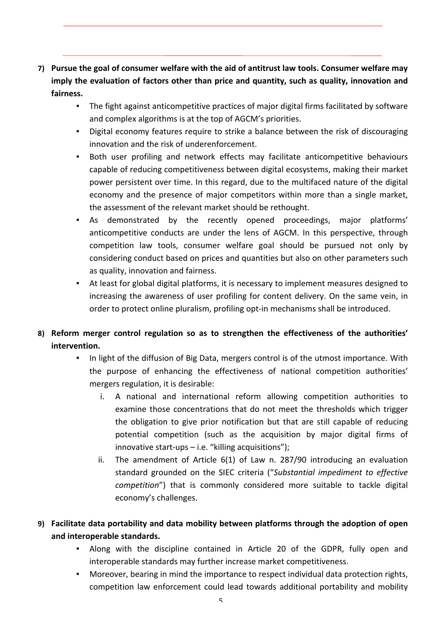- **7)** Pursue the goal of consumer welfare with the aid of antitrust law tools. Consumer welfare may imply the evaluation of factors other than price and quantity, such as quality, innovation and **fairness.** 
	- The fight against anticompetitive practices of major digital firms facilitated by software and complex algorithms is at the top of AGCM's priorities.
	- Digital economy features require to strike a balance between the risk of discouraging innovation and the risk of underenforcement.
	- Both user profiling and network effects may facilitate anticompetitive behaviours capable of reducing competitiveness between digital ecosystems, making their market power persistent over time. In this regard, due to the multifaced nature of the digital economy and the presence of major competitors within more than a single market, the assessment of the relevant market should be rethought.
	- As demonstrated by the recently opened proceedings, major platforms' anticompetitive conducts are under the lens of AGCM. In this perspective, through competition law tools, consumer welfare goal should be pursued not only by considering conduct based on prices and quantities but also on other parameters such as quality, innovation and fairness.
	- At least for global digital platforms, it is necessary to implement measures designed to increasing the awareness of user profiling for content delivery. On the same vein, in order to protect online pluralism, profiling opt-in mechanisms shall be introduced.

### 8) Reform merger control regulation so as to strengthen the effectiveness of the authorities' **intervention.**

- In light of the diffusion of Big Data, mergers control is of the utmost importance. With the purpose of enhancing the effectiveness of national competition authorities' mergers regulation, it is desirable:
	- i. A national and international reform allowing competition authorities to examine those concentrations that do not meet the thresholds which trigger the obligation to give prior notification but that are still capable of reducing potential competition (such as the acquisition by major digital firms of innovative start-ups  $-$  i.e. "killing acquisitions");
	- ii. The amendment of Article  $6(1)$  of Law n. 287/90 introducing an evaluation standard grounded on the SIEC criteria ("Substantial impediment to effective *competition*") that is commonly considered more suitable to tackle digital economy's challenges.

## 9) Facilitate data portability and data mobility between platforms through the adoption of open and interoperable standards.

- Along with the discipline contained in Article 20 of the GDPR, fully open and interoperable standards may further increase market competitiveness.
- Moreover, bearing in mind the importance to respect individual data protection rights, competition law enforcement could lead towards additional portability and mobility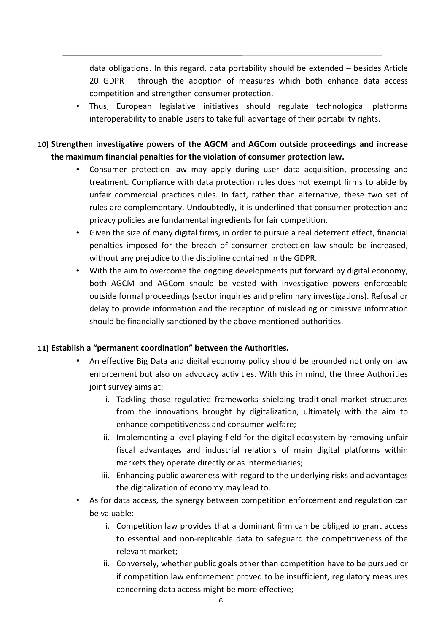data obligations. In this regard, data portability should be extended  $-$  besides Article 20 GDPR  $-$  through the adoption of measures which both enhance data access competition and strengthen consumer protection.

• Thus, European legislative initiatives should regulate technological platforms interoperability to enable users to take full advantage of their portability rights.

### 10) Strengthen investigative powers of the AGCM and AGCom outside proceedings and increase the maximum financial penalties for the violation of consumer protection law.

- Consumer protection law may apply during user data acquisition, processing and treatment. Compliance with data protection rules does not exempt firms to abide by unfair commercial practices rules. In fact, rather than alternative, these two set of rules are complementary. Undoubtedly, it is underlined that consumer protection and privacy policies are fundamental ingredients for fair competition.
- Given the size of many digital firms, in order to pursue a real deterrent effect, financial penalties imposed for the breach of consumer protection law should be increased, without any prejudice to the discipline contained in the GDPR.
- With the aim to overcome the ongoing developments put forward by digital economy, both AGCM and AGCom should be vested with investigative powers enforceable outside formal proceedings (sector inquiries and preliminary investigations). Refusal or delay to provide information and the reception of misleading or omissive information should be financially sanctioned by the above-mentioned authorities.

#### 11) **Establish a "permanent coordination"** between the Authorities.

- An effective Big Data and digital economy policy should be grounded not only on law enforcement but also on advocacy activities. With this in mind, the three Authorities joint survey aims at:
	- i. Tackling those regulative frameworks shielding traditional market structures from the innovations brought by digitalization, ultimately with the aim to enhance competitiveness and consumer welfare;
	- ii. Implementing a level playing field for the digital ecosystem by removing unfair fiscal advantages and industrial relations of main digital platforms within markets they operate directly or as intermediaries;
	- iii. Enhancing public awareness with regard to the underlying risks and advantages the digitalization of economy may lead to.
- As for data access, the synergy between competition enforcement and regulation can be valuable:
	- i. Competition law provides that a dominant firm can be obliged to grant access to essential and non-replicable data to safeguard the competitiveness of the relevant market;
	- ii. Conversely, whether public goals other than competition have to be pursued or if competition law enforcement proved to be insufficient, regulatory measures concerning data access might be more effective;